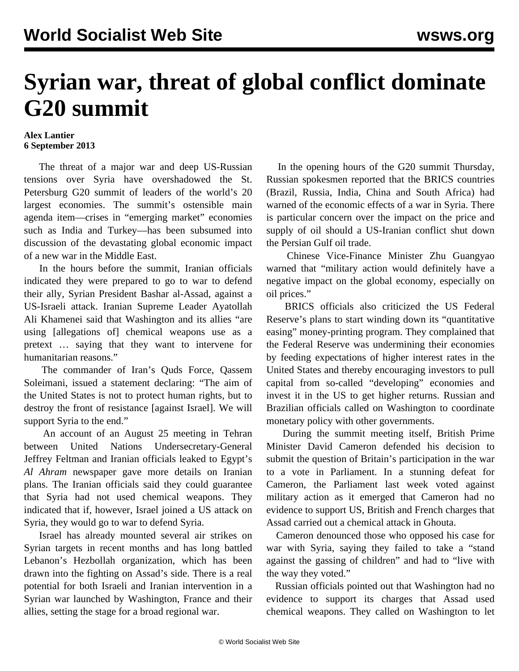## **Syrian war, threat of global conflict dominate G20 summit**

## **Alex Lantier 6 September 2013**

 The threat of a major war and deep US-Russian tensions over Syria have overshadowed the St. Petersburg G20 summit of leaders of the world's 20 largest economies. The summit's ostensible main agenda item—crises in "emerging market" economies such as India and Turkey—has been subsumed into discussion of the devastating global economic impact of a new war in the Middle East.

 In the hours before the summit, Iranian officials indicated they were prepared to go to war to defend their ally, Syrian President Bashar al-Assad, against a US-Israeli attack. Iranian Supreme Leader Ayatollah Ali Khamenei said that Washington and its allies "are using [allegations of] chemical weapons use as a pretext … saying that they want to intervene for humanitarian reasons."

 The commander of Iran's Quds Force, Qassem Soleimani, issued a statement declaring: "The aim of the United States is not to protect human rights, but to destroy the front of resistance [against Israel]. We will support Syria to the end."

 An account of an August 25 meeting in Tehran between United Nations Undersecretary-General Jeffrey Feltman and Iranian officials leaked to Egypt's *Al Ahram* newspaper gave more details on Iranian plans. The Iranian officials said they could guarantee that Syria had not used chemical weapons. They indicated that if, however, Israel joined a US attack on Syria, they would go to war to defend Syria.

 Israel has already mounted several air strikes on Syrian targets in recent months and has long battled Lebanon's Hezbollah organization, which has been drawn into the fighting on Assad's side. There is a real potential for both Israeli and Iranian intervention in a Syrian war launched by Washington, France and their allies, setting the stage for a broad regional war.

 In the opening hours of the G20 summit Thursday, Russian spokesmen reported that the BRICS countries (Brazil, Russia, India, China and South Africa) had warned of the economic effects of a war in Syria. There is particular concern over the impact on the price and supply of oil should a US-Iranian conflict shut down the Persian Gulf oil trade.

 Chinese Vice-Finance Minister Zhu Guangyao warned that "military action would definitely have a negative impact on the global economy, especially on oil prices."

 BRICS officials also criticized the US Federal Reserve's plans to start winding down its "quantitative easing" money-printing program. They complained that the Federal Reserve was undermining their economies by feeding expectations of higher interest rates in the United States and thereby encouraging investors to pull capital from so-called "developing" economies and invest it in the US to get higher returns. Russian and Brazilian officials called on Washington to coordinate monetary policy with other governments.

 During the summit meeting itself, British Prime Minister David Cameron defended his decision to submit the question of Britain's participation in the war to a vote in Parliament. In a stunning defeat for Cameron, the Parliament last week voted against military action as it emerged that Cameron had no evidence to support US, British and French charges that Assad carried out a chemical attack in Ghouta.

 Cameron denounced those who opposed his case for war with Syria, saying they failed to take a "stand against the gassing of children" and had to "live with the way they voted."

 Russian officials pointed out that Washington had no evidence to support its charges that Assad used chemical weapons. They called on Washington to let